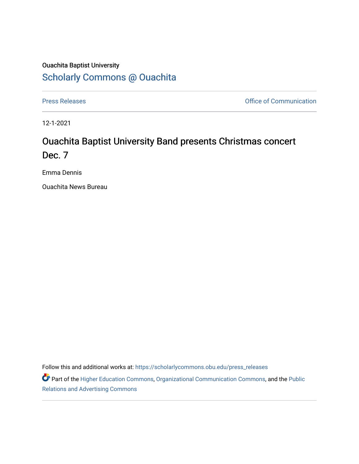## Ouachita Baptist University [Scholarly Commons @ Ouachita](https://scholarlycommons.obu.edu/)

[Press Releases](https://scholarlycommons.obu.edu/press_releases) **Press Releases Communication** 

12-1-2021

# Ouachita Baptist University Band presents Christmas concert Dec. 7

Emma Dennis

Ouachita News Bureau

Follow this and additional works at: [https://scholarlycommons.obu.edu/press\\_releases](https://scholarlycommons.obu.edu/press_releases?utm_source=scholarlycommons.obu.edu%2Fpress_releases%2F884&utm_medium=PDF&utm_campaign=PDFCoverPages)

Part of the [Higher Education Commons,](http://network.bepress.com/hgg/discipline/1245?utm_source=scholarlycommons.obu.edu%2Fpress_releases%2F884&utm_medium=PDF&utm_campaign=PDFCoverPages) [Organizational Communication Commons,](http://network.bepress.com/hgg/discipline/335?utm_source=scholarlycommons.obu.edu%2Fpress_releases%2F884&utm_medium=PDF&utm_campaign=PDFCoverPages) and the [Public](http://network.bepress.com/hgg/discipline/336?utm_source=scholarlycommons.obu.edu%2Fpress_releases%2F884&utm_medium=PDF&utm_campaign=PDFCoverPages) [Relations and Advertising Commons](http://network.bepress.com/hgg/discipline/336?utm_source=scholarlycommons.obu.edu%2Fpress_releases%2F884&utm_medium=PDF&utm_campaign=PDFCoverPages)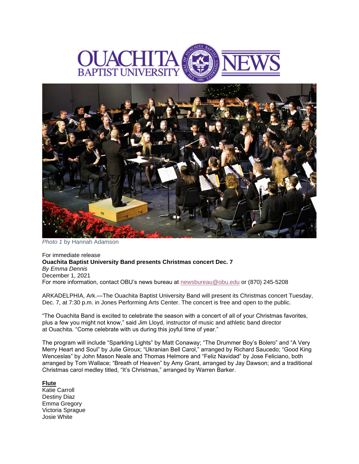



*Photo 1* by Hannah Adamson

For immediate release **Ouachita Baptist University Band presents Christmas concert Dec. 7** *By Emma Dennis* December 1, 2021 For more information, contact OBU's news bureau at [newsbureau@obu.edu](mailto:newsbureau@obu.edu) or (870) 245-5208

ARKADELPHIA, Ark.—The Ouachita Baptist University Band will present its Christmas concert Tuesday, Dec. 7, at 7:30 p.m. in Jones Performing Arts Center. The concert is free and open to the public.

"The Ouachita Band is excited to celebrate the season with a concert of all of your Christmas favorites, plus a few you might not know," said Jim Lloyd, instructor of music and athletic band director at Ouachita. "Come celebrate with us during this joyful time of year."

The program will include "Sparkling Lights" by Matt Conaway; "The Drummer Boy's Bolero" and "A Very Merry Heart and Soul" by Julie Giroux; "Ukranian Bell Carol," arranged by Richard Saucedo; "Good King Wenceslas" by John Mason Neale and Thomas Helmore and "Feliz Navidad" by Jose Feliciano, both arranged by Tom Wallace; "Breath of Heaven" by Amy Grant, arranged by Jay Dawson; and a traditional Christmas carol medley titled, "It's Christmas," arranged by Warren Barker.

#### **Flute**

Katie Carroll Destiny Diaz Emma Gregory Victoria Sprague Josie White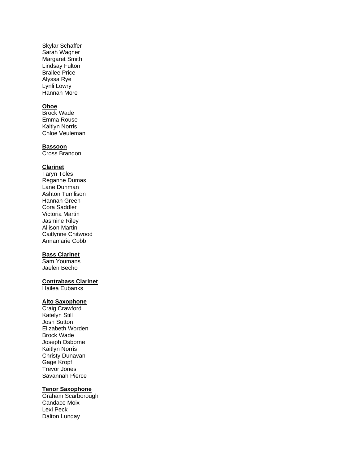Skylar Schaffer Sarah Wagner Margaret Smith Lindsay Fulton Brailee Price Alyssa Rye Lynli Lowry Hannah More

## **Oboe**

Brock Wade Emma Rouse Kaitlyn Norris Chloe Veuleman

#### **Bassoon**

Cross Brandon

#### **Clarinet**

Taryn Toles Reganne Dumas Lane Dunman Ashton Tumlison Hannah Green Cora Saddler Victoria Martin Jasmine Riley Allison Martin Caitlynne Chitwood Annamarie Cobb

## **Bass Clarinet**

Sam Youmans Jaelen Becho

#### **Contrabass Clarinet**

Hailea Eubanks

## **Alto Saxophone**

Craig Crawford Katelyn Still Josh Sutton Elizabeth Worden Brock Wade Joseph Osborne Kaitlyn Norris Christy Dunavan Gage Kropf Trevor Jones Savannah Pierce

#### **Tenor Saxophone**

Graham Scarborough Candace Moix Lexi Peck Dalton Lunday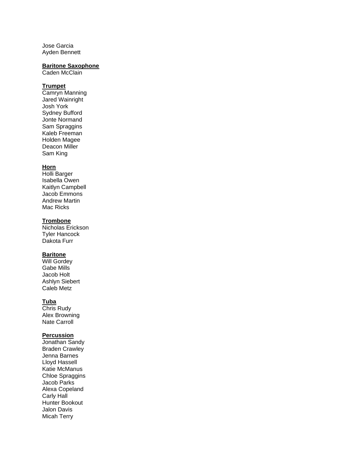Jose Garcia Ayden Bennett

#### **Baritone Saxophone**

Caden McClain

#### **Trumpet**

Camryn Manning Jared Wainright Josh York Sydney Bufford Jonte Normand Sam Spraggins Kaleb Freeman Holden Magee Deacon Miller Sam King

#### **Horn**

Holli Barger Isabella Owen Kaitlyn Campbell Jacob Emmons Andrew Martin Mac Ricks

#### **Trombone**

Nicholas Erickson Tyler Hancock Dakota Furr

## **Baritone**

Will Gordey Gabe Mills Jacob Holt Ashlyn Siebert Caleb Metz

#### **Tuba**

Chris Rudy Alex Browning Nate Carroll

#### **Percussion**

Jonathan Sandy Braden Crawley Jenna Barnes Lloyd Hassell Katie McManus Chloe Spraggins Jacob Parks Alexa Copeland Carly Hall Hunter Bookout Jalon Davis Micah Terry